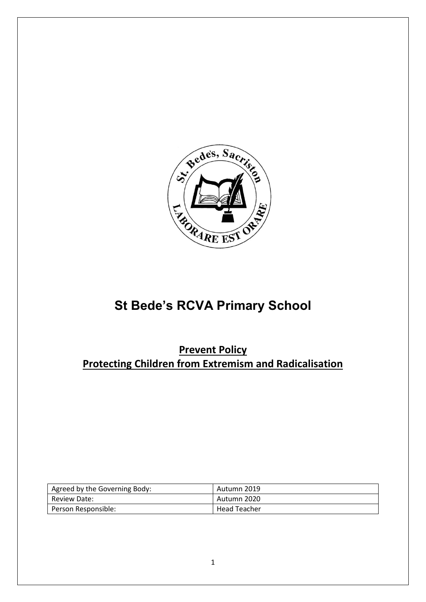

# **St Bede's RCVA Primary School**

**Prevent Policy Protecting Children from Extremism and Radicalisation**

| Agreed by the Governing Body: | Autumn 2019         |
|-------------------------------|---------------------|
| Review Date:                  | Autumn 2020         |
| Person Responsible:           | <b>Head Teacher</b> |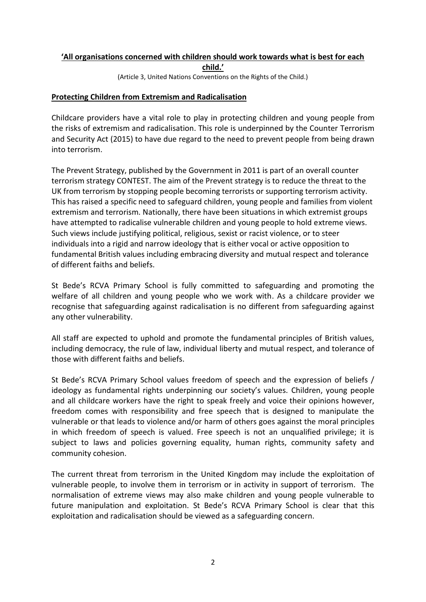# **'All organisations concerned with children should work towards what is best for each child.'**

(Article 3, United Nations Conventions on the Rights of the Child.)

#### **Protecting Children from Extremism and Radicalisation**

Childcare providers have a vital role to play in protecting children and young people from the risks of extremism and radicalisation. This role is underpinned by the Counter Terrorism and Security Act (2015) to have due regard to the need to prevent people from being drawn into terrorism.

The Prevent Strategy, published by the Government in 2011 is part of an overall counter terrorism strategy CONTEST. The aim of the Prevent strategy is to reduce the threat to the UK from terrorism by stopping people becoming terrorists or supporting terrorism activity. This has raised a specific need to safeguard children, young people and families from violent extremism and terrorism. Nationally, there have been situations in which extremist groups have attempted to radicalise vulnerable children and young people to hold extreme views. Such views include justifying political, religious, sexist or racist violence, or to steer individuals into a rigid and narrow ideology that is either vocal or active opposition to fundamental British values including embracing diversity and mutual respect and tolerance of different faiths and beliefs.

St Bede's RCVA Primary School is fully committed to safeguarding and promoting the welfare of all children and young people who we work with. As a childcare provider we recognise that safeguarding against radicalisation is no different from safeguarding against any other vulnerability.

All staff are expected to uphold and promote the fundamental principles of British values, including democracy, the rule of law, individual liberty and mutual respect, and tolerance of those with different faiths and beliefs.

St Bede's RCVA Primary School values freedom of speech and the expression of beliefs / ideology as fundamental rights underpinning our society's values. Children, young people and all childcare workers have the right to speak freely and voice their opinions however, freedom comes with responsibility and free speech that is designed to manipulate the vulnerable or that leads to violence and/or harm of others goes against the moral principles in which freedom of speech is valued. Free speech is not an unqualified privilege; it is subject to laws and policies governing equality, human rights, community safety and community cohesion.

The current threat from terrorism in the United Kingdom may include the exploitation of vulnerable people, to involve them in terrorism or in activity in support of terrorism. The normalisation of extreme views may also make children and young people vulnerable to future manipulation and exploitation. St Bede's RCVA Primary School is clear that this exploitation and radicalisation should be viewed as a safeguarding concern.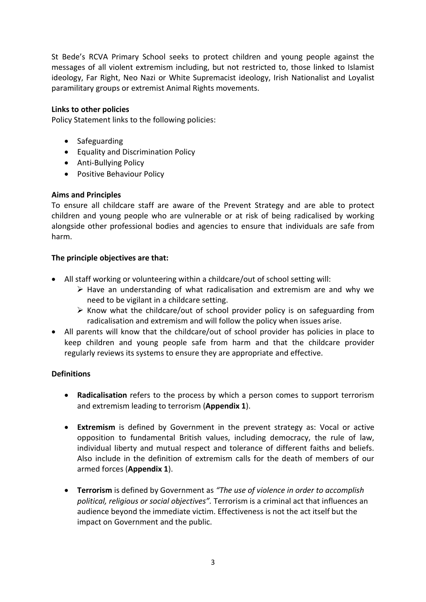St Bede's RCVA Primary School seeks to protect children and young people against the messages of all violent extremism including, but not restricted to, those linked to Islamist ideology, Far Right, Neo Nazi or White Supremacist ideology, Irish Nationalist and Loyalist paramilitary groups or extremist Animal Rights movements.

#### **Links to other policies**

Policy Statement links to the following policies:

- Safeguarding
- Equality and Discrimination Policy
- Anti-Bullying Policy
- Positive Behaviour Policy

# **Aims and Principles**

To ensure all childcare staff are aware of the Prevent Strategy and are able to protect children and young people who are vulnerable or at risk of being radicalised by working alongside other professional bodies and agencies to ensure that individuals are safe from harm.

#### **The principle objectives are that:**

- All staff working or volunteering within a childcare/out of school setting will:
	- ➢ Have an understanding of what radicalisation and extremism are and why we need to be vigilant in a childcare setting.
	- $\triangleright$  Know what the childcare/out of school provider policy is on safeguarding from radicalisation and extremism and will follow the policy when issues arise.
- All parents will know that the childcare/out of school provider has policies in place to keep children and young people safe from harm and that the childcare provider regularly reviews its systems to ensure they are appropriate and effective.

# **Definitions**

- **Radicalisation** refers to the process by which a person comes to support terrorism and extremism leading to terrorism (**Appendix 1**).
- **Extremism** is defined by Government in the prevent strategy as: Vocal or active opposition to fundamental British values, including democracy, the rule of law, individual liberty and mutual respect and tolerance of different faiths and beliefs. Also include in the definition of extremism calls for the death of members of our armed forces (**Appendix 1**).
- **Terrorism** is defined by Government as *"The use of violence in order to accomplish political, religious or social objectives".* Terrorism is a criminal act that influences an audience beyond the immediate victim. Effectiveness is not the act itself but the impact on Government and the public.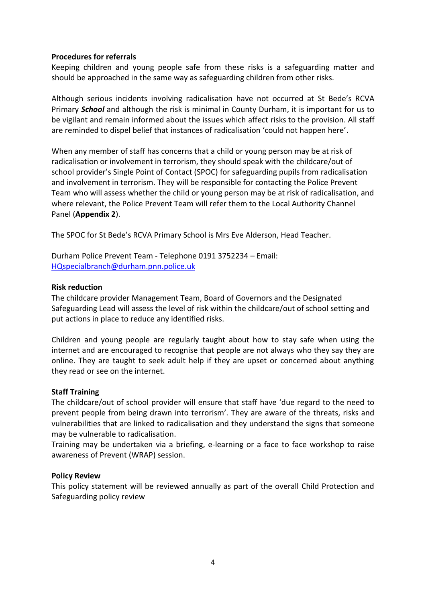#### **Procedures for referrals**

Keeping children and young people safe from these risks is a safeguarding matter and should be approached in the same way as safeguarding children from other risks.

Although serious incidents involving radicalisation have not occurred at St Bede's RCVA Primary *School* and although the risk is minimal in County Durham, it is important for us to be vigilant and remain informed about the issues which affect risks to the provision. All staff are reminded to dispel belief that instances of radicalisation 'could not happen here'.

When any member of staff has concerns that a child or young person may be at risk of radicalisation or involvement in terrorism, they should speak with the childcare/out of school provider's Single Point of Contact (SPOC) for safeguarding pupils from radicalisation and involvement in terrorism. They will be responsible for contacting the Police Prevent Team who will assess whether the child or young person may be at risk of radicalisation, and where relevant, the Police Prevent Team will refer them to the Local Authority Channel Panel (**Appendix 2**).

The SPOC for St Bede's RCVA Primary School is Mrs Eve Alderson, Head Teacher.

Durham Police Prevent Team - Telephone 0191 3752234 – Email: [HQspecialbranch@durham.pnn.police.uk](mailto:HQspecialbranch@durham.pnn.police.uk)

#### **Risk reduction**

The childcare provider Management Team, Board of Governors and the Designated Safeguarding Lead will assess the level of risk within the childcare/out of school setting and put actions in place to reduce any identified risks.

Children and young people are regularly taught about how to stay safe when using the internet and are encouraged to recognise that people are not always who they say they are online. They are taught to seek adult help if they are upset or concerned about anything they read or see on the internet.

#### **Staff Training**

The childcare/out of school provider will ensure that staff have 'due regard to the need to prevent people from being drawn into terrorism'. They are aware of the threats, risks and vulnerabilities that are linked to radicalisation and they understand the signs that someone may be vulnerable to radicalisation.

Training may be undertaken via a briefing, e-learning or a face to face workshop to raise awareness of Prevent (WRAP) session.

#### **Policy Review**

This policy statement will be reviewed annually as part of the overall Child Protection and Safeguarding policy review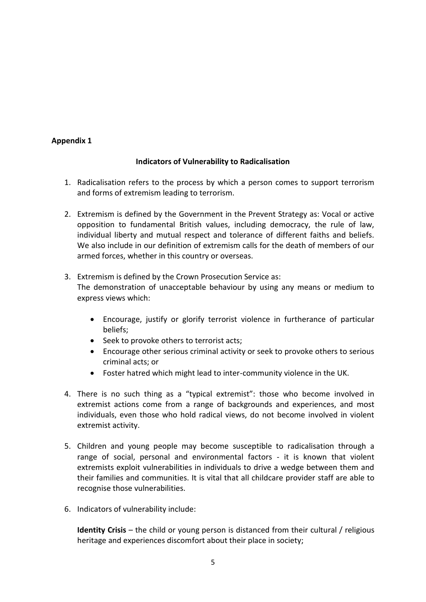### **Appendix 1**

#### **Indicators of Vulnerability to Radicalisation**

- 1. Radicalisation refers to the process by which a person comes to support terrorism and forms of extremism leading to terrorism.
- 2. Extremism is defined by the Government in the Prevent Strategy as: Vocal or active opposition to fundamental British values, including democracy, the rule of law, individual liberty and mutual respect and tolerance of different faiths and beliefs. We also include in our definition of extremism calls for the death of members of our armed forces, whether in this country or overseas.
- 3. Extremism is defined by the Crown Prosecution Service as: The demonstration of unacceptable behaviour by using any means or medium to express views which:
	- Encourage, justify or glorify terrorist violence in furtherance of particular beliefs;
	- Seek to provoke others to terrorist acts;
	- Encourage other serious criminal activity or seek to provoke others to serious criminal acts; or
	- Foster hatred which might lead to inter-community violence in the UK.
- 4. There is no such thing as a "typical extremist": those who become involved in extremist actions come from a range of backgrounds and experiences, and most individuals, even those who hold radical views, do not become involved in violent extremist activity.
- 5. Children and young people may become susceptible to radicalisation through a range of social, personal and environmental factors - it is known that violent extremists exploit vulnerabilities in individuals to drive a wedge between them and their families and communities. It is vital that all childcare provider staff are able to recognise those vulnerabilities.
- 6. Indicators of vulnerability include:

**Identity Crisis** – the child or young person is distanced from their cultural / religious heritage and experiences discomfort about their place in society;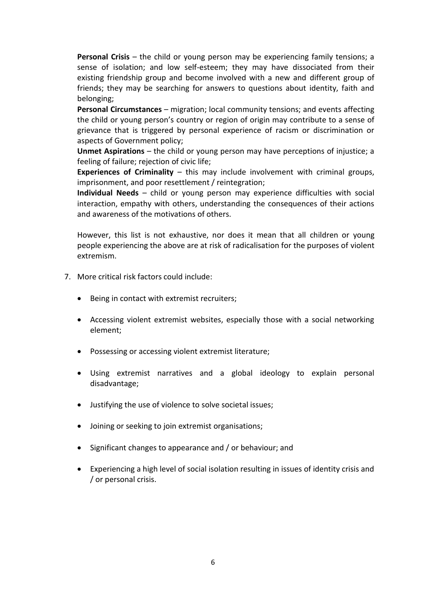**Personal Crisis** – the child or young person may be experiencing family tensions; a sense of isolation; and low self-esteem; they may have dissociated from their existing friendship group and become involved with a new and different group of friends; they may be searching for answers to questions about identity, faith and belonging;

**Personal Circumstances** – migration; local community tensions; and events affecting the child or young person's country or region of origin may contribute to a sense of grievance that is triggered by personal experience of racism or discrimination or aspects of Government policy;

**Unmet Aspirations** – the child or young person may have perceptions of injustice; a feeling of failure; rejection of civic life;

**Experiences of Criminality** – this may include involvement with criminal groups, imprisonment, and poor resettlement / reintegration;

**Individual Needs** – child or young person may experience difficulties with social interaction, empathy with others, understanding the consequences of their actions and awareness of the motivations of others.

However, this list is not exhaustive, nor does it mean that all children or young people experiencing the above are at risk of radicalisation for the purposes of violent extremism.

- 7. More critical risk factors could include:
	- Being in contact with extremist recruiters;
	- Accessing violent extremist websites, especially those with a social networking element;
	- Possessing or accessing violent extremist literature;
	- Using extremist narratives and a global ideology to explain personal disadvantage;
	- Justifying the use of violence to solve societal issues;
	- Joining or seeking to join extremist organisations;
	- Significant changes to appearance and / or behaviour; and
	- Experiencing a high level of social isolation resulting in issues of identity crisis and / or personal crisis.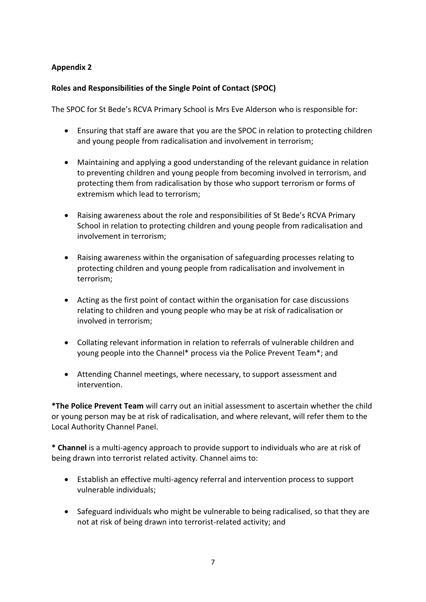# **Appendix 2**

# **Roles and Responsibilities of the Single Point of Contact (SPOC)**

The SPOC for St Bede's RCVA Primary School is Mrs Eve Alderson who is responsible for:

- Ensuring that staff are aware that you are the SPOC in relation to protecting children and young people from radicalisation and involvement in terrorism;
- Maintaining and applying a good understanding of the relevant guidance in relation to preventing children and young people from becoming involved in terrorism, and protecting them from radicalisation by those who support terrorism or forms of extremism which lead to terrorism;
- Raising awareness about the role and responsibilities of St Bede's RCVA Primary School in relation to protecting children and young people from radicalisation and involvement in terrorism;
- Raising awareness within the organisation of safeguarding processes relating to protecting children and young people from radicalisation and involvement in terrorism;
- Acting as the first point of contact within the organisation for case discussions relating to children and young people who may be at risk of radicalisation or involved in terrorism;
- Collating relevant information in relation to referrals of vulnerable children and young people into the Channel\* process via the Police Prevent Team\*; and
- Attending Channel meetings, where necessary, to support assessment and intervention.

**\*The Police Prevent Team** will carry out an initial assessment to ascertain whether the child or young person may be at risk of radicalisation, and where relevant, will refer them to the Local Authority Channel Panel.

**\* Channel** is a multi-agency approach to provide support to individuals who are at risk of being drawn into terrorist related activity. Channel aims to:

- Establish an effective multi-agency referral and intervention process to support vulnerable individuals;
- Safeguard individuals who might be vulnerable to being radicalised, so that they are not at risk of being drawn into terrorist-related activity; and